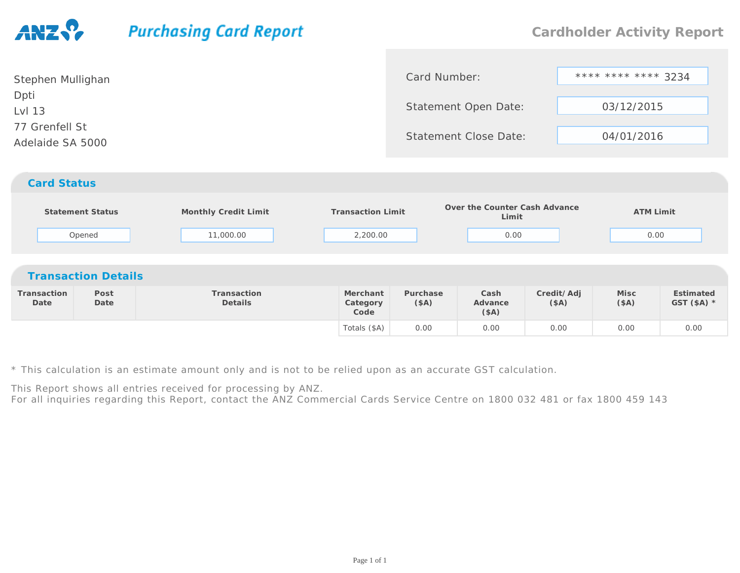## **Purchasing Card Report**

| Stephen Mullighan                  | Card Number:                 | **** **** **** 3234 |
|------------------------------------|------------------------------|---------------------|
| Dpti<br>Lvl 13                     | Statement Open Date:         | 03/12/2015          |
| 77 Grenfell St<br>Adelaide SA 5000 | <b>Statement Close Date:</b> | 04/01/2016          |
| <b>Card Status</b>                 |                              |                     |

|                     | Statement Status<br>Opened | Monthly Credit Limit<br>11,000.00 | <b>Transaction Limit</b><br>2,200.00 |                  | Over the Counter Cash Advance<br>Limit<br>0.00 |                    | <b>ATM Limit</b><br>0.00 |                           |
|---------------------|----------------------------|-----------------------------------|--------------------------------------|------------------|------------------------------------------------|--------------------|--------------------------|---------------------------|
|                     | <b>Transaction Details</b> |                                   |                                      |                  |                                                |                    |                          |                           |
| Transaction<br>Date | Post<br>Date               | Transaction<br>Details            | Merchant<br>Category<br>Code         | Purchase<br>(SA) | Cash<br>Advance<br>(SA)                        | Credit/Adj<br>(SA) | Misc<br>(SA)             | Estimated<br>GST $(SA)$ * |
|                     |                            |                                   | Totals (\$A)                         | 0.00             | 0.00                                           | 0.00               | 0.00                     | 0.00                      |

\* This calculation is an estimate amount only and is not to be relied upon as an accurate GST calculation.

This Report shows all entries received for processing by ANZ.

For all inquiries regarding this Report, contact the ANZ Commercial Cards Service Centre on 1800 032 481 or fax 1800 459 143